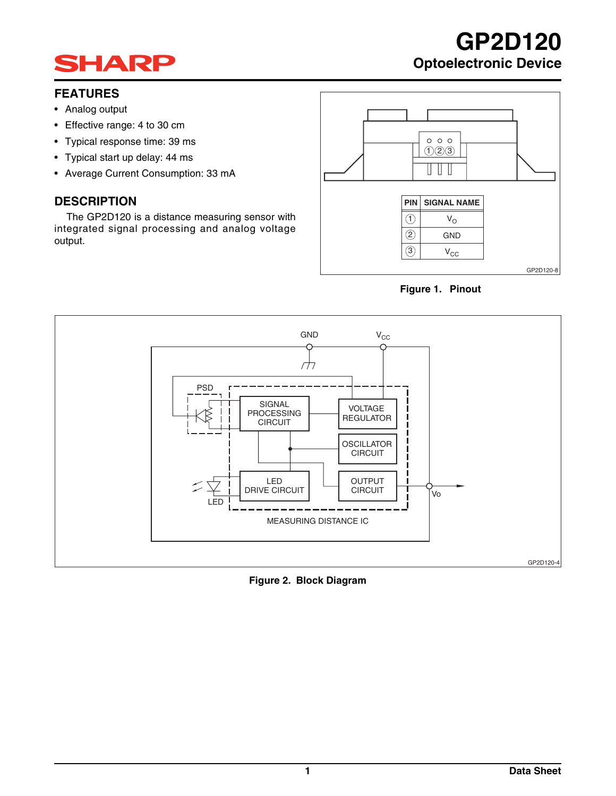## **SHARP**

## **FEATURES**

- Analog output
- Effective range: 4 to 30 cm
- Typical response time: 39 ms
- Typical start up delay: 44 ms
- Average Current Consumption: 33 mA

## **DESCRIPTION**

The GP2D120 is a distance measuring sensor with integrated signal processing and analog voltage output.



**GP2D120**

**Optoelectronic Device**





**Figure 2. Block Diagram**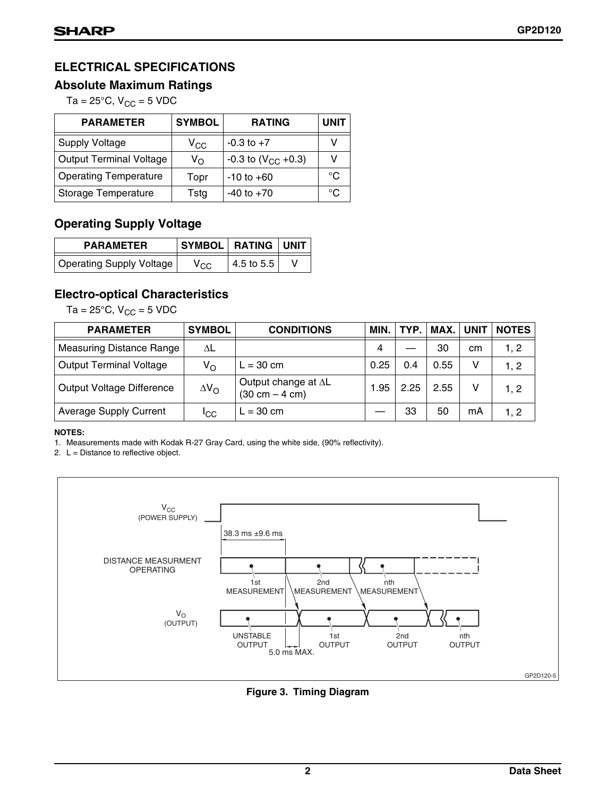## **ELECTRICAL SPECIFICATIONS**

## **Absolute Maximum Ratings**

Ta =  $25^{\circ}$ C, V<sub>CC</sub> = 5 VDC

| <b>PARAMETER</b>               | <b>SYMBOL</b> | <b>RATING</b>             | <b>UNIT</b>  |
|--------------------------------|---------------|---------------------------|--------------|
| <b>Supply Voltage</b>          | $V_{CC}$      | $-0.3$ to $+7$            |              |
| <b>Output Terminal Voltage</b> | $V_{\Omega}$  | $-0.3$ to $(V_{CC} +0.3)$ | v            |
| <b>Operating Temperature</b>   | Topr          | $-10$ to $+60$            | $^{\circ}$ C |
| Storage Temperature            | Tstg          | $-40$ to $+70$            | °∩           |

## **Operating Supply Voltage**

| <b>PARAMETER</b>         | SYMBOL RATING UNIT |            |  |  |
|--------------------------|--------------------|------------|--|--|
| Operating Supply Voltage | $\rm v_{\rm CC}$   | 4.5 to 5.5 |  |  |

## **Electro-optical Characteristics**

Ta =  $25^{\circ}$ C, V<sub>CC</sub> = 5 VDC

| <b>PARAMETER</b>                | <b>SYMBOL</b>      | <b>CONDITIONS</b>                                       | MIN. | TYP. I | MAX. | <b>UNIT</b> | <b>NOTES</b> |
|---------------------------------|--------------------|---------------------------------------------------------|------|--------|------|-------------|--------------|
| <b>Measuring Distance Range</b> | ΔL                 |                                                         | 4    |        | 30   | cm          | 1, 2         |
| <b>Output Terminal Voltage</b>  | Vo                 | $L = 30$ cm                                             | 0.25 | 0.4    | 0.55 | v           | 1, 2         |
| Output Voltage Difference       | $\Delta V_{\rm O}$ | Output change at AL<br>$(30 \text{ cm} - 4 \text{ cm})$ | 1.95 | 2.25   | 2.55 | v           | 1, 2         |
| <b>Average Supply Current</b>   | <sup>I</sup> CC    | $L = 30$ cm                                             |      | 33     | 50   | mA          | 1, 2         |

### **NOTES:**

1. Measurements made with Kodak R-27 Gray Card, using the white side, (90% reflectivity).

2.  $L =$  Distance to reflective object.



**Figure 3. Timing Diagram**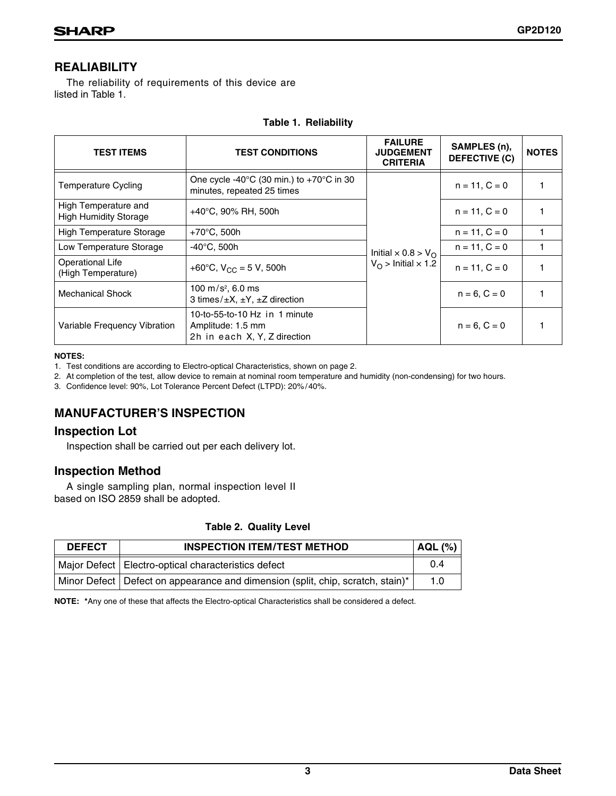## **REALIABILITY**

The reliability of requirements of this device are listed in Table 1.

|  | <b>Table 1. Reliability</b> |
|--|-----------------------------|
|--|-----------------------------|

| <b>TEST ITEMS</b>                                    | <b>TEST CONDITIONS</b>                                                                       | <b>FAILURE</b><br><b>JUDGEMENT</b><br><b>CRITERIA</b> | SAMPLES (n),<br><b>DEFECTIVE (C)</b> | <b>NOTES</b> |
|------------------------------------------------------|----------------------------------------------------------------------------------------------|-------------------------------------------------------|--------------------------------------|--------------|
| <b>Temperature Cycling</b>                           | One cycle -40 $^{\circ}$ C (30 min.) to +70 $^{\circ}$ C in 30<br>minutes, repeated 25 times |                                                       | $n = 11, C = 0$                      |              |
| High Temperature and<br><b>High Humidity Storage</b> | $+40^{\circ}$ C, 90% RH, 500h                                                                |                                                       | $n = 11, C = 0$                      |              |
| <b>High Temperature Storage</b>                      | $+70^{\circ}$ C, 500h                                                                        |                                                       | $n = 11, C = 0$                      |              |
| Low Temperature Storage                              | $-40^{\circ}$ C, 500h                                                                        | Initial $\times$ 0.8 > V <sub>O</sub>                 | $n = 11, C = 0$                      |              |
| <b>Operational Life</b><br>(High Temperature)        | +60°C, $V_{CC}$ = 5 V, 500h                                                                  | $V_{\Omega}$ > Initial $\times$ 1.2                   | $n = 11, C = 0$                      |              |
| <b>Mechanical Shock</b>                              | 100 m/s <sup>2</sup> , 6.0 ms<br>3 times/ $\pm X$ , $\pm Y$ , $\pm Z$ direction              |                                                       | $n = 6, C = 0$                       |              |
| Variable Frequency Vibration                         | 10-to-55-to-10 Hz in 1 minute<br>Amplitude: 1.5 mm<br>2h in each X, Y, Z direction           |                                                       | $n = 6, C = 0$                       |              |

### **NOTES:**

1. Test conditions are according to Electro-optical Characteristics, shown on page 2.

2. At completion of the test, allow device to remain at nominal room temperature and humidity (non-condensing) for two hours.

3. Confidence level: 90%, Lot Tolerance Percent Defect (LTPD): 20% /40%.

## **MANUFACTURER'S INSPECTION**

## **Inspection Lot**

Inspection shall be carried out per each delivery lot.

## **Inspection Method**

A single sampling plan, normal inspection level II based on ISO 2859 shall be adopted.

## **Table 2. Quality Level**

| <b>DEFECT</b> | <b>INSPECTION ITEM/TEST METHOD</b><br>AQL (%)                                    |     |  |
|---------------|----------------------------------------------------------------------------------|-----|--|
|               | Major Defect   Electro-optical characteristics defect                            | 0.4 |  |
|               | Minor Defect   Defect on appearance and dimension (split, chip, scratch, stain)* | 1.0 |  |

**NOTE: \***Any one of these that affects the Electro-optical Characteristics shall be considered a defect.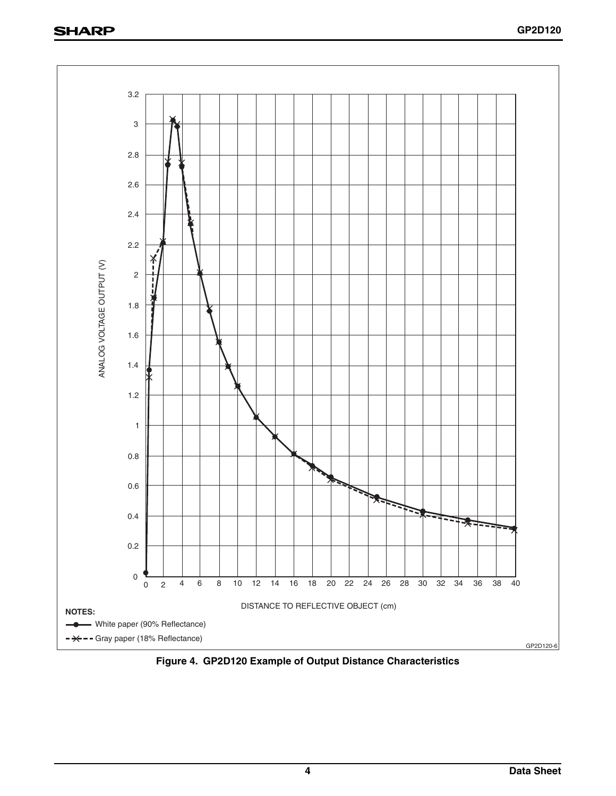## **SHARP**



**Figure 4. GP2D120 Example of Output Distance Characteristics**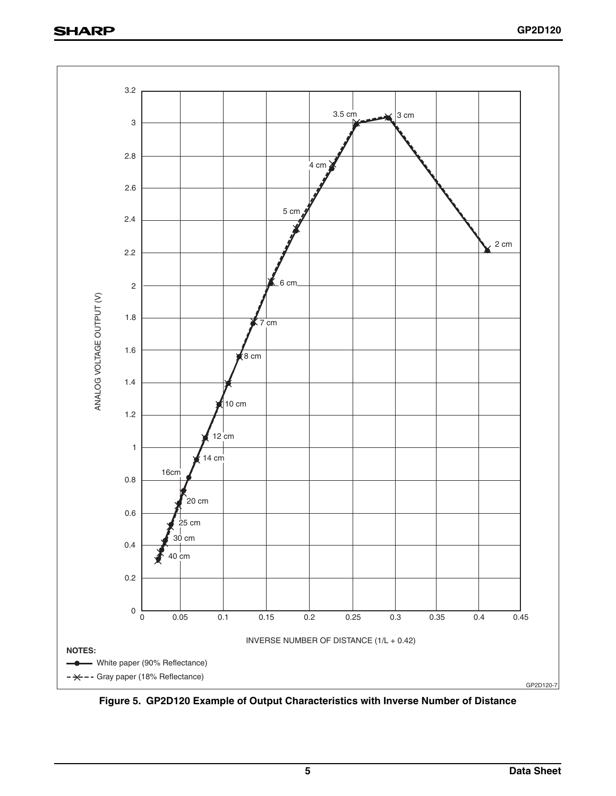

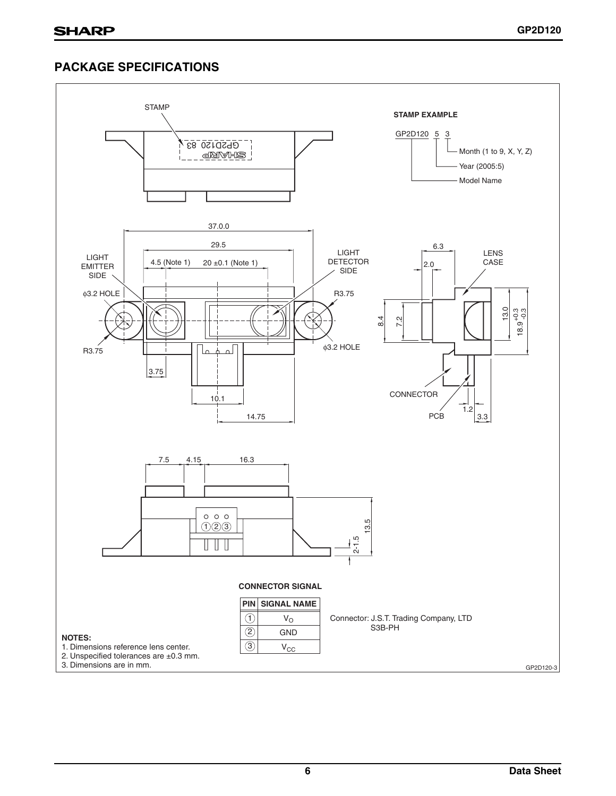## **PACKAGE SPECIFICATIONS**

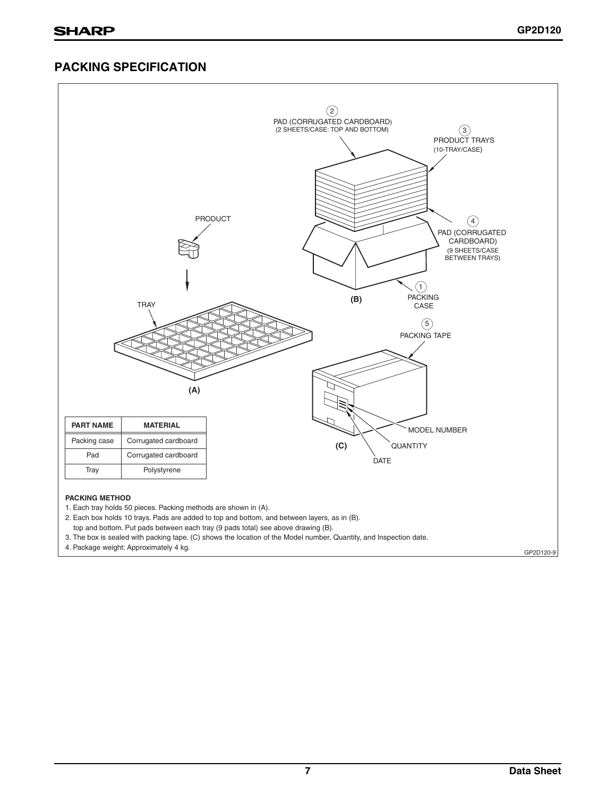## **PACKING SPECIFICATION**

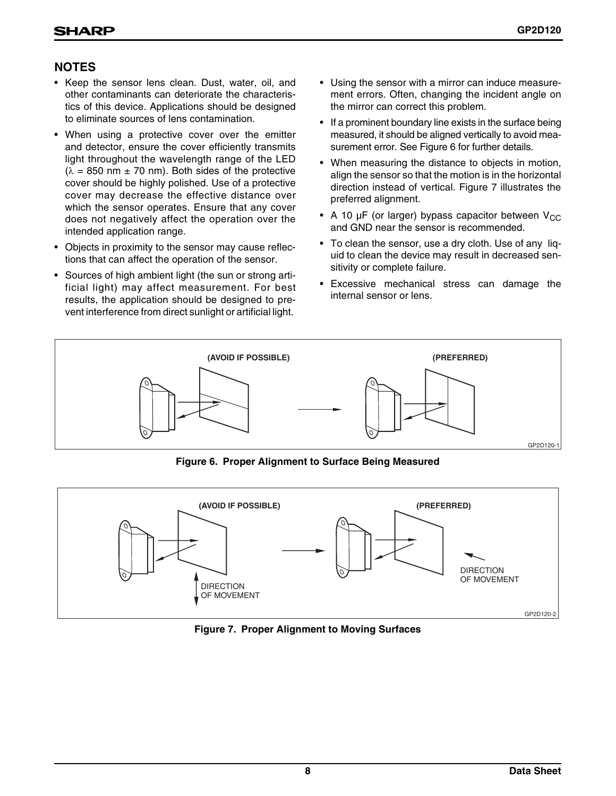## **NOTES**

- Keep the sensor lens clean. Dust, water, oil, and other contaminants can deteriorate the characteristics of this device. Applications should be designed to eliminate sources of lens contamination.
- When using a protective cover over the emitter and detector, ensure the cover efficiently transmits light throughout the wavelength range of the LED  $(\lambda = 850 \text{ nm} \pm 70 \text{ nm})$ . Both sides of the protective cover should be highly polished. Use of a protective cover may decrease the effective distance over which the sensor operates. Ensure that any cover does not negatively affect the operation over the intended application range.
- Objects in proximity to the sensor may cause reflections that can affect the operation of the sensor.
- Sources of high ambient light (the sun or strong artificial light) may affect measurement. For best results, the application should be designed to prevent interference from direct sunlight or artificial light.
- Using the sensor with a mirror can induce measurement errors. Often, changing the incident angle on the mirror can correct this problem.
- If a prominent boundary line exists in the surface being measured, it should be aligned vertically to avoid measurement error. See Figure 6 for further details.
- When measuring the distance to objects in motion, align the sensor so that the motion is in the horizontal direction instead of vertical. Figure 7 illustrates the preferred alignment.
- A 10  $\mu$ F (or larger) bypass capacitor between V<sub>CC</sub> and GND near the sensor is recommended.
- To clean the sensor, use a dry cloth. Use of any liquid to clean the device may result in decreased sensitivity or complete failure.
- Excessive mechanical stress can damage the internal sensor or lens.

![](_page_7_Figure_13.jpeg)

**Figure 6. Proper Alignment to Surface Being Measured**

![](_page_7_Figure_15.jpeg)

**Figure 7. Proper Alignment to Moving Surfaces**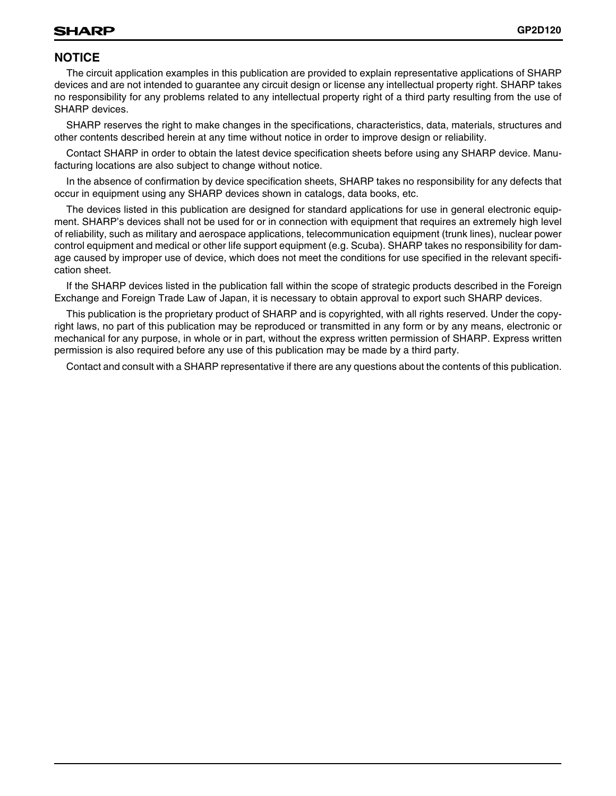## **NOTICE**

The circuit application examples in this publication are provided to explain representative applications of SHARP devices and are not intended to guarantee any circuit design or license any intellectual property right. SHARP takes no responsibility for any problems related to any intellectual property right of a third party resulting from the use of SHARP devices.

SHARP reserves the right to make changes in the specifications, characteristics, data, materials, structures and other contents described herein at any time without notice in order to improve design or reliability.

Contact SHARP in order to obtain the latest device specification sheets before using any SHARP device. Manufacturing locations are also subject to change without notice.

In the absence of confirmation by device specification sheets, SHARP takes no responsibility for any defects that occur in equipment using any SHARP devices shown in catalogs, data books, etc.

The devices listed in this publication are designed for standard applications for use in general electronic equipment. SHARP's devices shall not be used for or in connection with equipment that requires an extremely high level of reliability, such as military and aerospace applications, telecommunication equipment (trunk lines), nuclear power control equipment and medical or other life support equipment (e.g. Scuba). SHARP takes no responsibility for damage caused by improper use of device, which does not meet the conditions for use specified in the relevant specification sheet.

If the SHARP devices listed in the publication fall within the scope of strategic products described in the Foreign Exchange and Foreign Trade Law of Japan, it is necessary to obtain approval to export such SHARP devices.

This publication is the proprietary product of SHARP and is copyrighted, with all rights reserved. Under the copyright laws, no part of this publication may be reproduced or transmitted in any form or by any means, electronic or mechanical for any purpose, in whole or in part, without the express written permission of SHARP. Express written permission is also required before any use of this publication may be made by a third party.

Contact and consult with a SHARP representative if there are any questions about the contents of this publication.